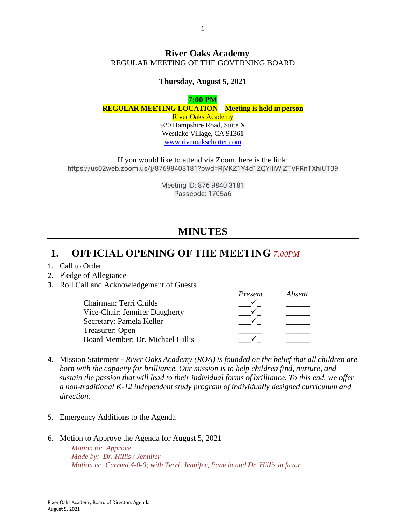#### **River Oaks Academy** REGULAR MEETING OF THE GOVERNING BOARD

#### **Thursday, August 5, 2021**

#### **7:00 PM REGULAR MEETING LOCATION—Meeting is held in person** River Oaks Academy

920 Hampshire Road, Suite X Westlake Village, CA 91361 [www.riveroakscharter.com](http://www.riveroakscharter.com/)

If you would like to attend via Zoom, here is the link: https://us02web.zoom.us/j/87698403181?pwd=RjVKZ1Y4d1ZQYlliWjZTVFRnTXhiUT09

> Meeting ID: 876 9840 3181 Passcode: 1705a6

# **MINUTES**

### **1. OFFICIAL OPENING OF THE MEETING** *7:00PM*

#### 1. Call to Order

- 2. Pledge of Allegiance
- 3. Roll Call and Acknowledgement of Guests

|                                  | Present | Absent |
|----------------------------------|---------|--------|
| Chairman: Terri Childs           |         |        |
| Vice-Chair: Jennifer Daugherty   |         |        |
| Secretary: Pamela Keller         |         |        |
| Treasurer: Open                  |         |        |
| Board Member: Dr. Michael Hillis |         |        |

- 4. Mission Statement *River Oaks Academy (ROA) is founded on the belief that all children are born with the capacity for brilliance. Our mission is to help children find, nurture, and sustain the passion that will lead to their individual forms of brilliance. To this end, we offer a non-traditional K-12 independent study program of individually designed curriculum and direction.*
- 5. Emergency Additions to the Agenda
- 6. Motion to Approve the Agenda for August 5, 2021

*Motion to: Approve Made by: Dr. Hillis / Jennifer Motion is: Carried 4-0-0; with Terri, Jennifer, Pamela and Dr. Hillis in favor*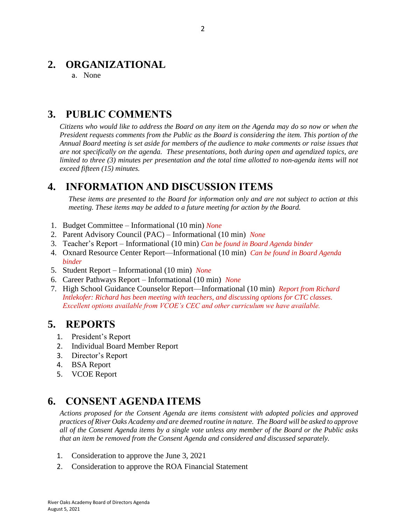# **2. ORGANIZATIONAL**

a. None

# **3. PUBLIC COMMENTS**

*Citizens who would like to address the Board on any item on the Agenda may do so now or when the President requests comments from the Public as the Board is considering the item. This portion of the Annual Board meeting is set aside for members of the audience to make comments or raise issues that are not specifically on the agenda. These presentations, both during open and agendized topics, are limited to three (3) minutes per presentation and the total time allotted to non-agenda items will not exceed fifteen (15) minutes.*

# **4. INFORMATION AND DISCUSSION ITEMS**

*These items are presented to the Board for information only and are not subject to action at this meeting. These items may be added to a future meeting for action by the Board.*

- 1. Budget Committee Informational (10 min) *None*
- 2. Parent Advisory Council (PAC) Informational (10 min) *None*
- 3. Teacher's Report Informational (10 min) *Can be found in Board Agenda binder*
- 4. Oxnard Resource Center Report—Informational (10 min) *Can be found in Board Agenda binder*
- 5. Student Report Informational (10 min) *None*
- 6. Career Pathways Report Informational (10 min) *None*
- 7. High School Guidance Counselor Report—Informational (10 min) *Report from Richard Intlekofer: Richard has been meeting with teachers, and discussing options for CTC classes. Excellent options available from VCOE's CEC and other curriculum we have available.*

## **5. REPORTS**

- 1. President's Report
- 2. Individual Board Member Report
- 3. Director's Report
- 4. BSA Report
- 5. VCOE Report

# **6. CONSENT AGENDA ITEMS**

*Actions proposed for the Consent Agenda are items consistent with adopted policies and approved practices of River Oaks Academy and are deemed routine in nature. The Board will be asked to approve all of the Consent Agenda items by a single vote unless any member of the Board or the Public asks that an item be removed from the Consent Agenda and considered and discussed separately.*

- 1. Consideration to approve the June 3, 2021
- 2. Consideration to approve the ROA Financial Statement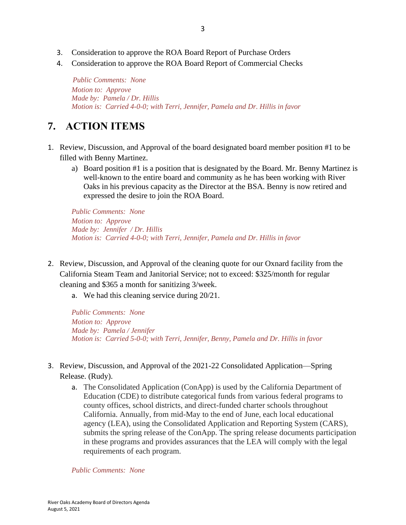- 3. Consideration to approve the ROA Board Report of Purchase Orders
- 4. Consideration to approve the ROA Board Report of Commercial Checks

 *Public Comments: None Motion to: Approve Made by: Pamela / Dr. Hillis Motion is: Carried 4-0-0; with Terri, Jennifer, Pamela and Dr. Hillis in favor*

# **7. ACTION ITEMS**

- 1. Review, Discussion, and Approval of the board designated board member position #1 to be filled with Benny Martinez.
	- a) Board position #1 is a position that is designated by the Board. Mr. Benny Martinez is well-known to the entire board and community as he has been working with River Oaks in his previous capacity as the Director at the BSA. Benny is now retired and expressed the desire to join the ROA Board.

*Public Comments: None Motion to: Approve Made by: Jennifer / Dr. Hillis Motion is: Carried 4-0-0; with Terri, Jennifer, Pamela and Dr. Hillis in favor*

- 2. Review, Discussion, and Approval of the cleaning quote for our Oxnard facility from the California Steam Team and Janitorial Service; not to exceed: \$325/month for regular cleaning and \$365 a month for sanitizing 3/week.
	- a. We had this cleaning service during 20/21.

*Public Comments: None Motion to: Approve Made by: Pamela / Jennifer Motion is: Carried 5-0-0; with Terri, Jennifer, Benny, Pamela and Dr. Hillis in favor*

- 3. Review, Discussion, and Approval of the 2021-22 Consolidated Application—Spring Release. (Rudy).
	- a. The Consolidated Application (ConApp) is used by the California Department of Education (CDE) to distribute categorical funds from various federal programs to county offices, school districts, and direct-funded charter schools throughout California. Annually, from mid-May to the end of June, each local educational agency (LEA), using the Consolidated Application and Reporting System (CARS), submits the spring release of the ConApp. The spring release documents participation in these programs and provides assurances that the LEA will comply with the legal requirements of each program.

*Public Comments: None*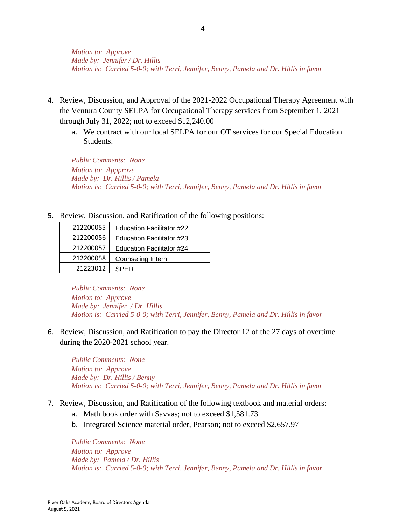*Motion to: Approve Made by: Jennifer / Dr. Hillis Motion is: Carried 5-0-0; with Terri, Jennifer, Benny, Pamela and Dr. Hillis in favor*

- 4. Review, Discussion, and Approval of the 2021-2022 Occupational Therapy Agreement with the Ventura County SELPA for Occupational Therapy services from September 1, 2021 through July 31, 2022; not to exceed \$12,240.00
	- a. We contract with our local SELPA for our OT services for our Special Education Students.

*Public Comments: None Motion to: Appprove Made by: Dr. Hillis / Pamela Motion is: Carried 5-0-0; with Terri, Jennifer, Benny, Pamela and Dr. Hillis in favor*

5. Review, Discussion, and Ratification of the following positions:

| 212200055 | Education Facilitator #22 |  |
|-----------|---------------------------|--|
| 212200056 | Education Facilitator #23 |  |
| 212200057 | Education Facilitator #24 |  |
| 212200058 | Counseling Intern         |  |
| 21223012  | <b>SPED</b>               |  |

*Public Comments: None Motion to: Approve Made by: Jennifer / Dr. Hillis Motion is: Carried 5-0-0; with Terri, Jennifer, Benny, Pamela and Dr. Hillis in favor*

6. Review, Discussion, and Ratification to pay the Director 12 of the 27 days of overtime during the 2020-2021 school year.

*Public Comments: None Motion to: Approve Made by: Dr. Hillis / Benny Motion is: Carried 5-0-0; with Terri, Jennifer, Benny, Pamela and Dr. Hillis in favor*

- 7. Review, Discussion, and Ratification of the following textbook and material orders:
	- a. Math book order with Savvas; not to exceed \$1,581.73
	- b. Integrated Science material order, Pearson; not to exceed \$2,657.97

*Public Comments: None Motion to: Approve Made by: Pamela / Dr. Hillis Motion is: Carried 5-0-0; with Terri, Jennifer, Benny, Pamela and Dr. Hillis in favor*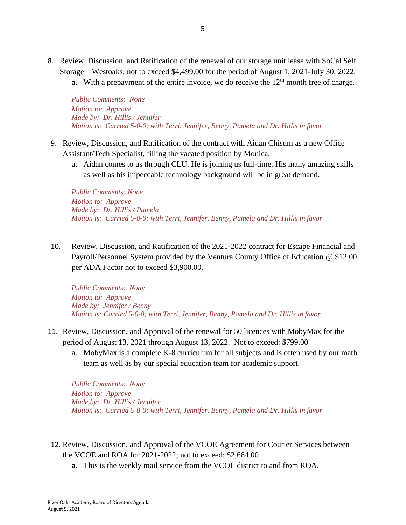- 8. Review, Discussion, and Ratification of the renewal of our storage unit lease with SoCal Self Storage—Westoaks; not to exceed \$4,499.00 for the period of August 1, 2021-July 30, 2022.
	- a. With a prepayment of the entire invoice, we do receive the  $12<sup>th</sup>$  month free of charge.

*Public Comments: None Motion to: Approve Made by: Dr. Hillis / Jennifer Motion is: Carried 5-0-0; with Terri, Jennifer, Benny, Pamela and Dr. Hillis in favor*

- 9. Review, Discussion, and Ratification of the contract with Aidan Chisum as a new Office Assistant/Tech Specialist, filling the vacated position by Monica.
	- a. Aidan comes to us through CLU. He is joining us full-time. His many amazing skills as well as his impeccable technology background will be in great demand.

*Public Comments: None Motion to: Approve Made by: Dr. Hillis / Pamela Motion is: Carried 5-0-0; with Terri, Jennifer, Benny, Pamela and Dr. Hillis in favor*

10. Review, Discussion, and Ratification of the 2021-2022 contract for Escape Financial and Payroll/Personnel System provided by the Ventura County Office of Education @ \$12.00 per ADA Factor not to exceed \$3,900.00.

*Public Comments: None Motion to: Approve Made by: Jennifer / Benny Motion is: Carried 5-0-0; with Terri, Jennifer, Benny, Pamela and Dr. Hillis in favor* 

- 11. Review, Discussion, and Approval of the renewal for 50 licences with MobyMax for the period of August 13, 2021 through August 13, 2022. Not to exceed: \$799.00
	- a. MobyMax is a complete K-8 curriculum for all subjects and is often used by our math team as well as by our special education team for academic support.

*Public Comments: None Motion to: Approve Made by: Dr. Hillis / Jennifer Motion is: Carried 5-0-0; with Terri, Jennifer, Benny, Pamela and Dr. Hillis in favor*

- 12. Review, Discussion, and Approval of the VCOE Agreement for Courier Services between the VCOE and ROA for 2021-2022; not to exceed: \$2,684.00
	- a. This is the weekly mail service from the VCOE district to and from ROA.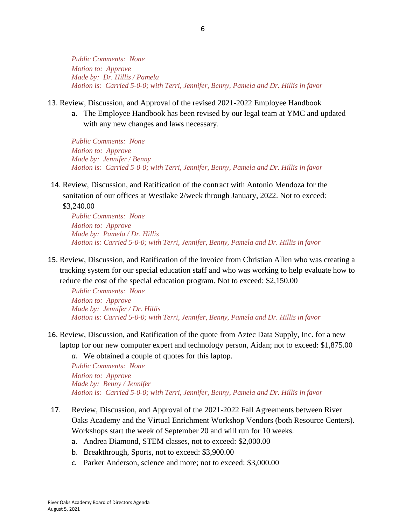*Public Comments: None Motion to: Approve Made by: Dr. Hillis / Pamela Motion is: Carried 5-0-0; with Terri, Jennifer, Benny, Pamela and Dr. Hillis in favor*

- 13. Review, Discussion, and Approval of the revised 2021-2022 Employee Handbook
	- a. The Employee Handbook has been revised by our legal team at YMC and updated with any new changes and laws necessary.

*Public Comments: None Motion to: Approve Made by: Jennifer / Benny Motion is: Carried 5-0-0; with Terri, Jennifer, Benny, Pamela and Dr. Hillis in favor*

14. Review, Discussion, and Ratification of the contract with Antonio Mendoza for the sanitation of our offices at Westlake 2/week through January, 2022. Not to exceed:

\$3,240.00 *Public Comments: None Motion to: Approve Made by: Pamela / Dr. Hillis Motion is: Carried 5-0-0; with Terri, Jennifer, Benny, Pamela and Dr. Hillis in favor* 

15. Review, Discussion, and Ratification of the invoice from Christian Allen who was creating a tracking system for our special education staff and who was working to help evaluate how to reduce the cost of the special education program. Not to exceed: \$2,150.00

*Public Comments: None Motion to: Approve Made by: Jennifer / Dr. Hillis Motion is: Carried 5-0-0; with Terri, Jennifer, Benny, Pamela and Dr. Hillis in favor* 

16. Review, Discussion, and Ratification of the quote from Aztec Data Supply, Inc. for a new laptop for our new computer expert and technology person, Aidan; not to exceed: \$1,875.00

*a.* We obtained a couple of quotes for this laptop.

*Public Comments: None Motion to: Approve Made by: Benny / Jennifer Motion is: Carried 5-0-0; with Terri, Jennifer, Benny, Pamela and Dr. Hillis in favor*

- 17. Review, Discussion, and Approval of the 2021-2022 Fall Agreements between River Oaks Academy and the Virtual Enrichment Workshop Vendors (both Resource Centers). Workshops start the week of September 20 and will run for 10 weeks.
	- a. Andrea Diamond, STEM classes, not to exceed: \$2,000.00
	- b. Breakthrough, Sports, not to exceed: \$3,900.00
	- *c.* Parker Anderson, science and more; not to exceed: \$3,000.00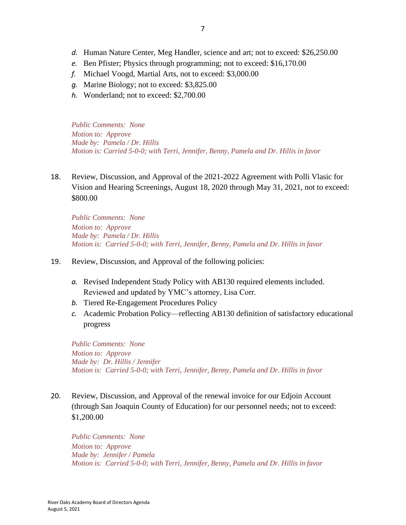- *d.* Human Nature Center, Meg Handler, science and art; not to exceed: \$26,250.00
- *e.* Ben Pfister; Physics through programming; not to exceed: \$16,170.00
- *f.* Michael Voogd, Martial Arts, not to exceed: \$3,000.00
- *g.* Marine Biology; not to exceed: \$3,825.00
- *h.* Wonderland; not to exceed: \$2,700.00

*Public Comments: None Motion to: Approve Made by: Pamela / Dr. Hillis Motion is: Carried 5-0-0; with Terri, Jennifer, Benny, Pamela and Dr. Hillis in favor* 

18. Review, Discussion, and Approval of the 2021-2022 Agreement with Polli Vlasic for Vision and Hearing Screenings, August 18, 2020 through May 31, 2021, not to exceed: \$800.00

*Public Comments: None Motion to: Approve Made by: Pamela / Dr. Hillis Motion is: Carried 5-0-0; with Terri, Jennifer, Benny, Pamela and Dr. Hillis in favor*

- 19. Review, Discussion, and Approval of the following policies:
	- *a.* Revised Independent Study Policy with AB130 required elements included. Reviewed and updated by YMC's attorney, Lisa Corr.
	- *b.* Tiered Re-Engagement Procedures Policy
	- *c.* Academic Probation Policy—reflecting AB130 definition of satisfactory educational progress

*Public Comments: None Motion to: Approve Made by: Dr. Hillis / Jennifer Motion is: Carried 5-0-0; with Terri, Jennifer, Benny, Pamela and Dr. Hillis in favor*

20. Review, Discussion, and Approval of the renewal invoice for our Edjoin Account (through San Joaquin County of Education) for our personnel needs; not to exceed: \$1,200.00

*Public Comments: None Motion to: Approve Made by: Jennifer / Pamela Motion is: Carried 5-0-0; with Terri, Jennifer, Benny, Pamela and Dr. Hillis in favor*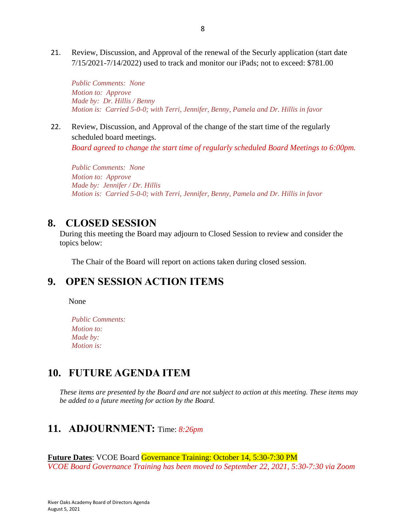21. Review, Discussion, and Approval of the renewal of the Securly application (start date 7/15/2021-7/14/2022) used to track and monitor our iPads; not to exceed: \$781.00

*Public Comments: None Motion to: Approve Made by: Dr. Hillis / Benny Motion is: Carried 5-0-0; with Terri, Jennifer, Benny, Pamela and Dr. Hillis in favor*

22. Review, Discussion, and Approval of the change of the start time of the regularly scheduled board meetings.

*Board agreed to change the start time of regularly scheduled Board Meetings to 6:00pm.*

*Public Comments: None Motion to: Approve Made by: Jennifer / Dr. Hillis Motion is: Carried 5-0-0; with Terri, Jennifer, Benny, Pamela and Dr. Hillis in favor*

#### **8. CLOSED SESSION**

During this meeting the Board may adjourn to Closed Session to review and consider the topics below:

The Chair of the Board will report on actions taken during closed session.

## **9. OPEN SESSION ACTION ITEMS**

None

*Public Comments: Motion to: Made by: Motion is:*

## **10. FUTURE AGENDA ITEM**

*These items are presented by the Board and are not subject to action at this meeting. These items may be added to a future meeting for action by the Board.*

### **11. ADJOURNMENT:** Time: *8:26pm*

**Future Dates**: VCOE Board Governance Training: October 14, 5:30-7:30 PM *VCOE Board Governance Training has been moved to September 22, 2021, 5:30-7:30 via Zoom*